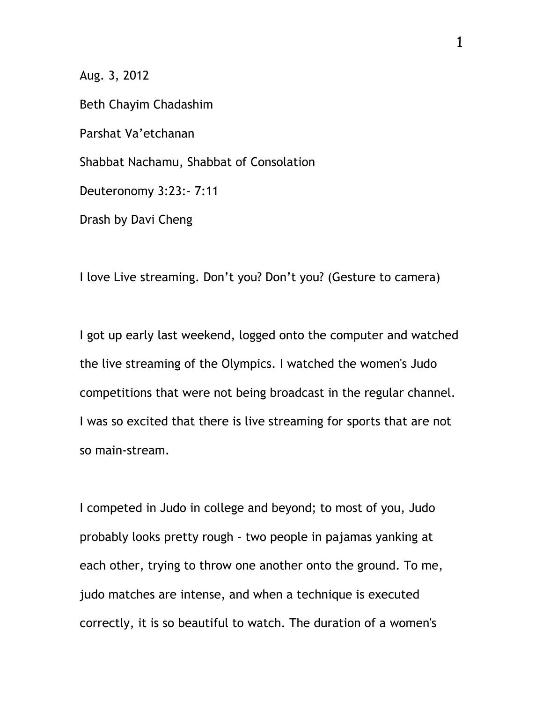Aug. 3, 2012

Beth Chayim Chadashim Parshat Va'etchanan Shabbat Nachamu, Shabbat of Consolation Deuteronomy 3:23:- 7:11 Drash by Davi Cheng

I love Live streaming. Don't you? Don't you? (Gesture to camera)

I got up early last weekend, logged onto the computer and watched the live streaming of the Olympics. I watched the women's Judo competitions that were not being broadcast in the regular channel. I was so excited that there is live streaming for sports that are not so main-stream.

I competed in Judo in college and beyond; to most of you, Judo probably looks pretty rough - two people in pajamas yanking at each other, trying to throw one another onto the ground. To me, judo matches are intense, and when a technique is executed correctly, it is so beautiful to watch. The duration of a women's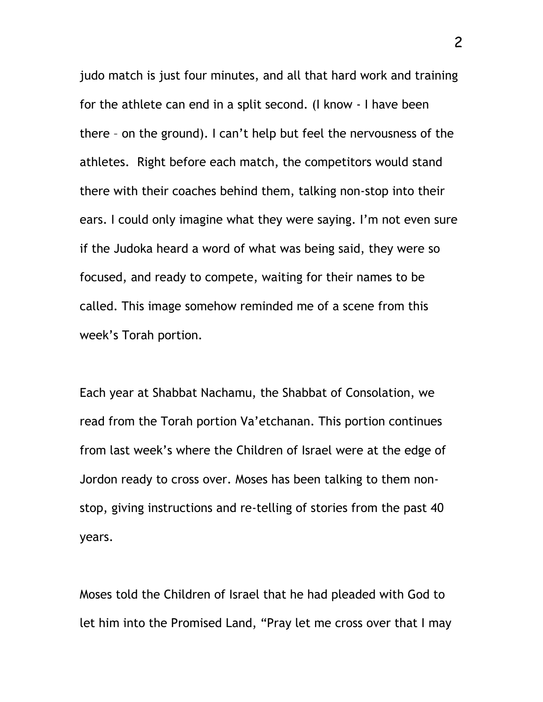judo match is just four minutes, and all that hard work and training for the athlete can end in a split second. (I know - I have been there – on the ground). I can't help but feel the nervousness of the athletes. Right before each match, the competitors would stand there with their coaches behind them, talking non-stop into their ears. I could only imagine what they were saying. I'm not even sure if the Judoka heard a word of what was being said, they were so focused, and ready to compete, waiting for their names to be called. This image somehow reminded me of a scene from this week's Torah portion.

Each year at Shabbat Nachamu, the Shabbat of Consolation, we read from the Torah portion Va'etchanan. This portion continues from last week's where the Children of Israel were at the edge of Jordon ready to cross over. Moses has been talking to them nonstop, giving instructions and re-telling of stories from the past 40 years.

Moses told the Children of Israel that he had pleaded with God to let him into the Promised Land, "Pray let me cross over that I may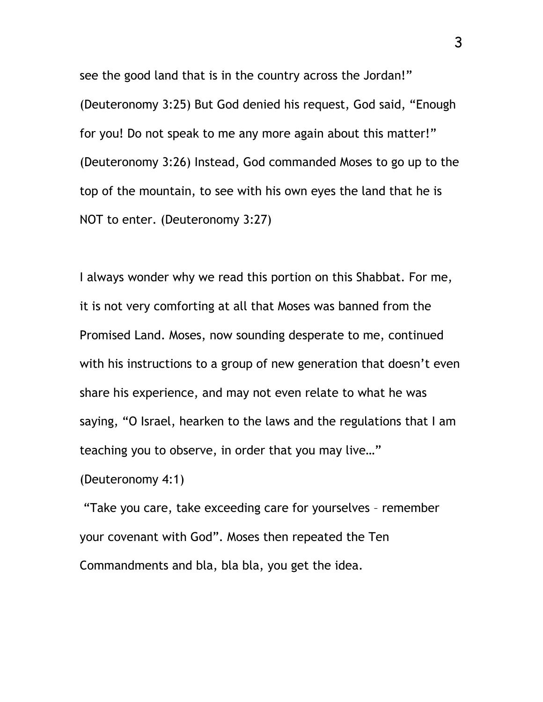see the good land that is in the country across the Jordan!" (Deuteronomy 3:25) But God denied his request, God said, "Enough for you! Do not speak to me any more again about this matter!" (Deuteronomy 3:26) Instead, God commanded Moses to go up to the top of the mountain, to see with his own eyes the land that he is NOT to enter. (Deuteronomy 3:27)

I always wonder why we read this portion on this Shabbat. For me, it is not very comforting at all that Moses was banned from the Promised Land. Moses, now sounding desperate to me, continued with his instructions to a group of new generation that doesn't even share his experience, and may not even relate to what he was saying, "O Israel, hearken to the laws and the regulations that I am teaching you to observe, in order that you may live…"

(Deuteronomy 4:1)

"Take you care, take exceeding care for yourselves – remember your covenant with God". Moses then repeated the Ten Commandments and bla, bla bla, you get the idea.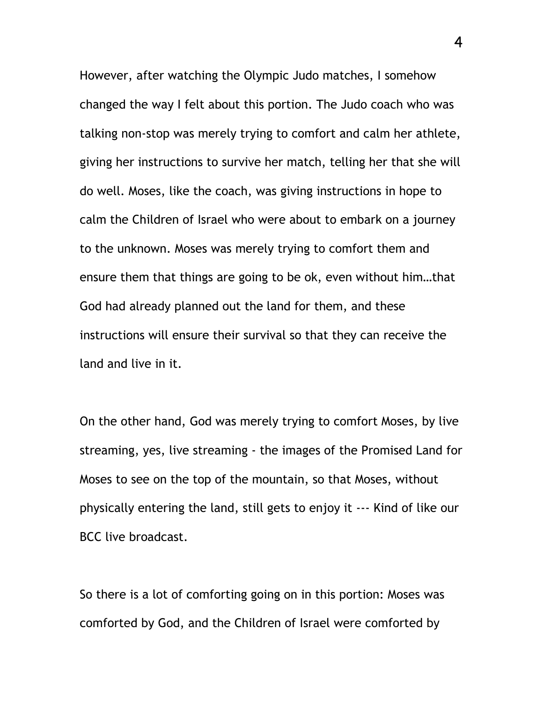However, after watching the Olympic Judo matches, I somehow changed the way I felt about this portion. The Judo coach who was talking non-stop was merely trying to comfort and calm her athlete, giving her instructions to survive her match, telling her that she will do well. Moses, like the coach, was giving instructions in hope to calm the Children of Israel who were about to embark on a journey to the unknown. Moses was merely trying to comfort them and ensure them that things are going to be ok, even without him…that God had already planned out the land for them, and these instructions will ensure their survival so that they can receive the land and live in it.

On the other hand, God was merely trying to comfort Moses, by live streaming, yes, live streaming - the images of the Promised Land for Moses to see on the top of the mountain, so that Moses, without physically entering the land, still gets to enjoy it --- Kind of like our BCC live broadcast.

So there is a lot of comforting going on in this portion: Moses was comforted by God, and the Children of Israel were comforted by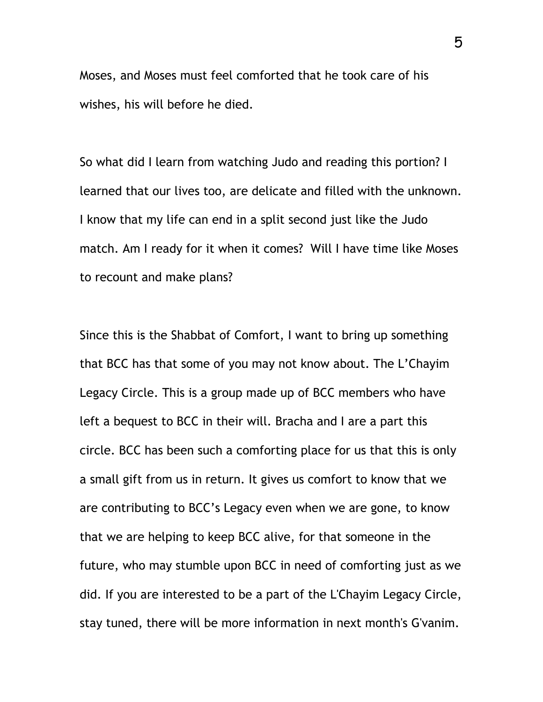Moses, and Moses must feel comforted that he took care of his wishes, his will before he died.

So what did I learn from watching Judo and reading this portion? I learned that our lives too, are delicate and filled with the unknown. I know that my life can end in a split second just like the Judo match. Am I ready for it when it comes? Will I have time like Moses to recount and make plans?

Since this is the Shabbat of Comfort, I want to bring up something that BCC has that some of you may not know about. The L'Chayim Legacy Circle. This is a group made up of BCC members who have left a bequest to BCC in their will. Bracha and I are a part this circle. BCC has been such a comforting place for us that this is only a small gift from us in return. It gives us comfort to know that we are contributing to BCC's Legacy even when we are gone, to know that we are helping to keep BCC alive, for that someone in the future, who may stumble upon BCC in need of comforting just as we did. If you are interested to be a part of the L'Chayim Legacy Circle, stay tuned, there will be more information in next month's G'vanim.

5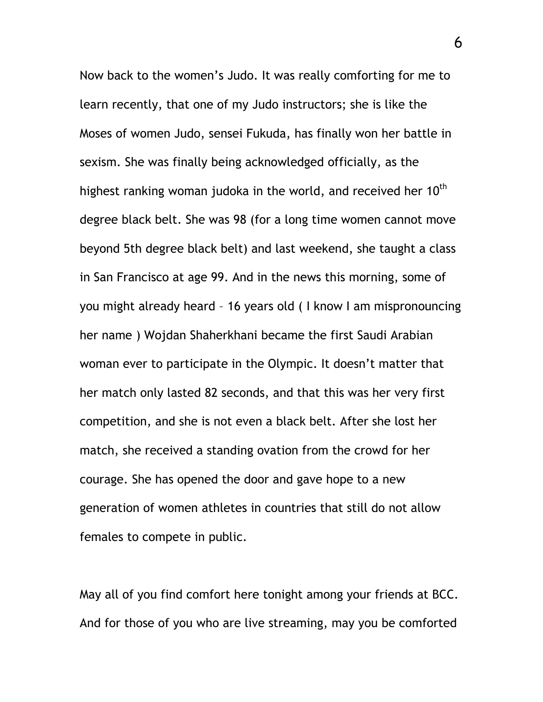Now back to the women's Judo. It was really comforting for me to learn recently, that one of my Judo instructors; she is like the Moses of women Judo, sensei Fukuda, has finally won her battle in sexism. She was finally being acknowledged officially, as the highest ranking woman judoka in the world, and received her  $10<sup>th</sup>$ degree black belt. She was 98 (for a long time women cannot move beyond 5th degree black belt) and last weekend, she taught a class in San Francisco at age 99. And in the news this morning, some of you might already heard – 16 years old ( I know I am mispronouncing her name ) Wojdan Shaherkhani became the first Saudi Arabian woman ever to participate in the Olympic. It doesn't matter that her match only lasted 82 seconds, and that this was her very first competition, and she is not even a black belt. After she lost her match, she received a standing ovation from the crowd for her courage. She has opened the door and gave hope to a new generation of women athletes in countries that still do not allow females to compete in public.

May all of you find comfort here tonight among your friends at BCC. And for those of you who are live streaming, may you be comforted